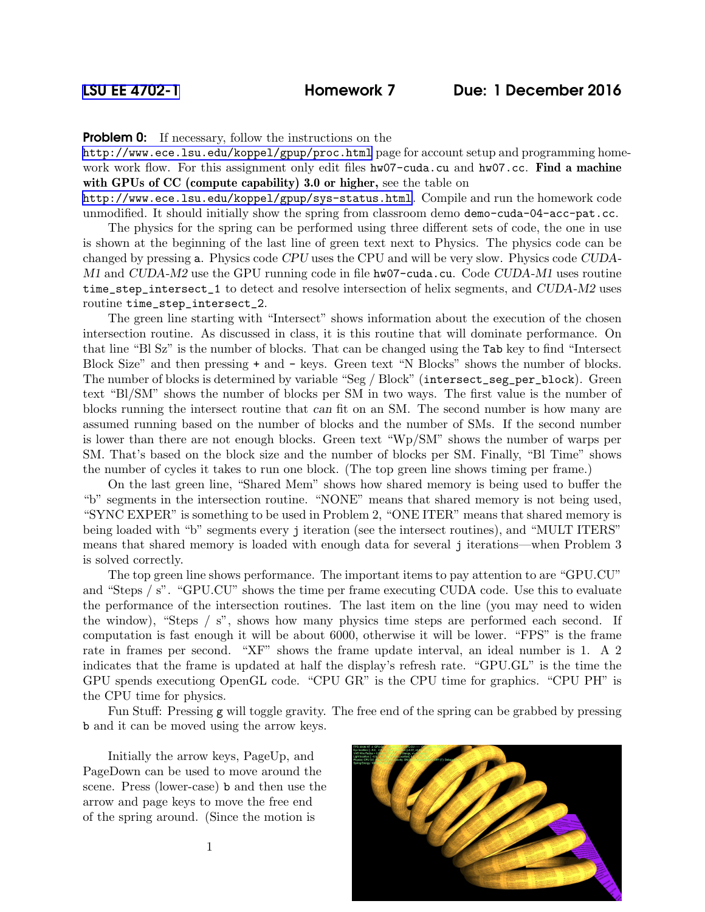**Problem 0:** If necessary, follow the instructions on the

<http://www.ece.lsu.edu/koppel/gpup/proc.html> page for account setup and programming homework work flow. For this assignment only edit files hw07-cuda.cu and hw07.cc. Find a machine with GPUs of CC (compute capability) 3.0 or higher, see the table on

<http://www.ece.lsu.edu/koppel/gpup/sys-status.html>. Compile and run the homework code unmodified. It should initially show the spring from classroom demo demo-cuda-04-acc-pat.cc.

The physics for the spring can be performed using three different sets of code, the one in use is shown at the beginning of the last line of green text next to Physics. The physics code can be changed by pressing a. Physics code CPU uses the CPU and will be very slow. Physics code CUDA-M1 and CUDA-M2 use the GPU running code in file hw07-cuda.cu. Code CUDA-M1 uses routine time\_step\_intersect\_1 to detect and resolve intersection of helix segments, and CUDA-M2 uses routine time\_step\_intersect\_2.

The green line starting with "Intersect" shows information about the execution of the chosen intersection routine. As discussed in class, it is this routine that will dominate performance. On that line "Bl Sz" is the number of blocks. That can be changed using the Tab key to find "Intersect Block Size" and then pressing + and - keys. Green text "N Blocks" shows the number of blocks. The number of blocks is determined by variable "Seg / Block" (intersect\_seg\_per\_block). Green text "Bl/SM" shows the number of blocks per SM in two ways. The first value is the number of blocks running the intersect routine that can fit on an SM. The second number is how many are assumed running based on the number of blocks and the number of SMs. If the second number is lower than there are not enough blocks. Green text "Wp/SM" shows the number of warps per SM. That's based on the block size and the number of blocks per SM. Finally, "Bl Time" shows the number of cycles it takes to run one block. (The top green line shows timing per frame.)

On the last green line, "Shared Mem" shows how shared memory is being used to buffer the "b" segments in the intersection routine. "NONE" means that shared memory is not being used, "SYNC EXPER" is something to be used in Problem 2, "ONE ITER" means that shared memory is being loaded with "b" segments every j iteration (see the intersect routines), and "MULT ITERS" means that shared memory is loaded with enough data for several j iterations—when Problem 3 is solved correctly.

The top green line shows performance. The important items to pay attention to are "GPU.CU" and "Steps / s". "GPU.CU" shows the time per frame executing CUDA code. Use this to evaluate the performance of the intersection routines. The last item on the line (you may need to widen the window), "Steps / s", shows how many physics time steps are performed each second. If computation is fast enough it will be about 6000, otherwise it will be lower. "FPS" is the frame rate in frames per second. "XF" shows the frame update interval, an ideal number is 1. A 2 indicates that the frame is updated at half the display's refresh rate. "GPU.GL" is the time the GPU spends executiong OpenGL code. "CPU GR" is the CPU time for graphics. "CPU PH" is the CPU time for physics.

Fun Stuff: Pressing g will toggle gravity. The free end of the spring can be grabbed by pressing b and it can be moved using the arrow keys.

Initially the arrow keys, PageUp, and PageDown can be used to move around the scene. Press (lower-case) b and then use the arrow and page keys to move the free end of the spring around. (Since the motion is